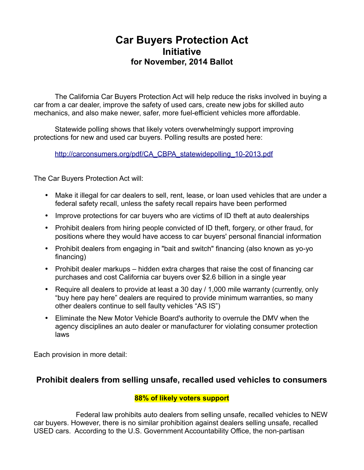# **Car Buyers Protection Act Initiative for November, 2014 Ballot**

The California Car Buyers Protection Act will help reduce the risks involved in buying a car from a car dealer, improve the safety of used cars, create new jobs for skilled auto mechanics, and also make newer, safer, more fuel-efficient vehicles more affordable.

Statewide polling shows that likely voters overwhelmingly support improving protections for new and used car buyers. Polling results are posted here:

[http://carconsumers.org/pdf/CA\\_CBPA\\_statewidepolling\\_10-2013.pdf](http://carconsumers.org/pdf/CA_CBPA_statewidepolling_10-2013.pdf)

The Car Buyers Protection Act will:

- Make it illegal for car dealers to sell, rent, lease, or loan used vehicles that are under a federal safety recall, unless the safety recall repairs have been performed
- Improve protections for car buyers who are victims of ID theft at auto dealerships
- Prohibit dealers from hiring people convicted of ID theft, forgery, or other fraud, for positions where they would have access to car buyers' personal financial information
- Prohibit dealers from engaging in "bait and switch" financing (also known as yo-yo financing)
- Prohibit dealer markups hidden extra charges that raise the cost of financing car purchases and cost California car buyers over \$2.6 billion in a single year
- Require all dealers to provide at least a 30 day / 1,000 mile warranty (currently, only "buy here pay here" dealers are required to provide minimum warranties, so many other dealers continue to sell faulty vehicles "AS IS")
- Eliminate the New Motor Vehicle Board's authority to overrule the DMV when the agency disciplines an auto dealer or manufacturer for violating consumer protection laws

Each provision in more detail:

## **Prohibit dealers from selling unsafe, recalled used vehicles to consumers**

#### **88% of likely voters support**

Federal law prohibits auto dealers from selling unsafe, recalled vehicles to NEW car buyers. However, there is no similar prohibition against dealers selling unsafe, recalled USED cars. According to the U.S. Government Accountability Office, the non-partisan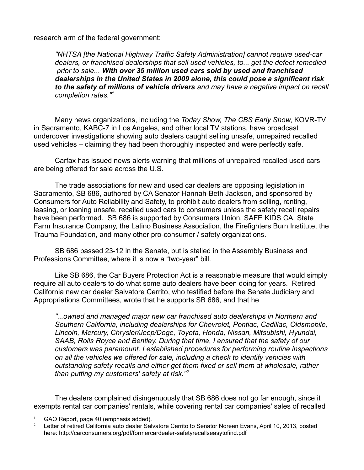research arm of the federal government:

*"NHTSA [the National Highway Traffic Safety Administration] cannot require used-car dealers, or franchised dealerships that sell used vehicles, to... get the defect remedied prior to sale... With over 35 million used cars sold by used and franchised dealerships in the United States in 2009 alone, this could pose a significant risk to the safety of millions of vehicle drivers and may have a negative impact on recall completion rates."[1](#page-1-0)*

Many news organizations, including the *Today Show, The CBS Early Show*, KOVR-TV in Sacramento, KABC-7 in Los Angeles, and other local TV stations, have broadcast undercover investigations showing auto dealers caught selling unsafe, unrepaired recalled used vehicles – claiming they had been thoroughly inspected and were perfectly safe.

Carfax has issued news alerts warning that millions of unrepaired recalled used cars are being offered for sale across the U.S.

The trade associations for new and used car dealers are opposing legislation in Sacramento, SB 686, authored by CA Senator Hannah-Beth Jackson, and sponsored by Consumers for Auto Reliability and Safety, to prohibit auto dealers from selling, renting, leasing, or loaning unsafe, recalled used cars to consumers unless the safety recall repairs have been performed. SB 686 is supported by Consumers Union, SAFE KIDS CA, State Farm Insurance Company, the Latino Business Association, the Firefighters Burn Institute, the Trauma Foundation, and many other pro-consumer / safety organizations.

SB 686 passed 23-12 in the Senate, but is stalled in the Assembly Business and Professions Committee, where it is now a "two-year" bill.

Like SB 686, the Car Buyers Protection Act is a reasonable measure that would simply require all auto dealers to do what some auto dealers have been doing for years. Retired California new car dealer Salvatore Cerrito, who testified before the Senate Judiciary and Appropriations Committees, wrote that he supports SB 686, and that he

*"...owned and managed major new car franchised auto dealerships in Northern and Southern California, including dealerships for Chevrolet, Pontiac, Cadillac, Oldsmobile, Lincoln, Mercury, Chrysler/Jeep/Doge, Toyota, Honda, Nissan, Mitsubishi, Hyundai, SAAB, Rolls Royce and Bentley. During that time, I ensured that the safety of our customers was paramount. I established procedures for performing routine inspections on all the vehicles we offered for sale, including a check to identify vehicles with outstanding safety recalls and either get them fixed or sell them at wholesale, rather than putting my customers' safety at risk."[2](#page-1-1)*

The dealers complained disingenuously that SB 686 does not go far enough, since it exempts rental car companies' rentals, while covering rental car companies' sales of recalled

<span id="page-1-0"></span>GAO Report, page 40 (emphasis added).

<span id="page-1-1"></span><sup>2</sup> Letter of retired California auto dealer Salvatore Cerrito to Senator Noreen Evans, April 10, 2013, posted here: http://carconsumers.org/pdf/formercardealer-safetyrecallseasytofind.pdf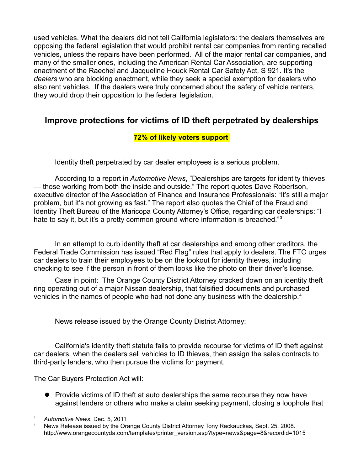used vehicles. What the dealers did not tell California legislators: the dealers themselves are opposing the federal legislation that would prohibit rental car companies from renting recalled vehicles, unless the repairs have been performed. All of the major rental car companies, and many of the smaller ones, including the American Rental Car Association, are supporting enactment of the Raechel and Jacqueline Houck Rental Car Safety Act, S 921. It's the *dealers* who are blocking enactment, while they seek a special exemption for dealers who also rent vehicles. If the dealers were truly concerned about the safety of vehicle renters, they would drop their opposition to the federal legislation.

## **Improve protections for victims of ID theft perpetrated by dealerships**

### **72% of likely voters support**

Identity theft perpetrated by car dealer employees is a serious problem.

According to a report in *Automotive News*, "Dealerships are targets for identity thieves — those working from both the inside and outside." The report quotes Dave Robertson, executive director of the Association of Finance and Insurance Professionals: "It's still a major problem, but it's not growing as fast." The report also quotes the Chief of the Fraud and Identity Theft Bureau of the Maricopa County Attorney's Office, regarding car dealerships: "I hate to say it, but it's a pretty common ground where information is breached."<sup>[3](#page-2-0)</sup>

In an attempt to curb identity theft at car dealerships and among other creditors, the Federal Trade Commission has issued "Red Flag" rules that apply to dealers. The FTC urges car dealers to train their employees to be on the lookout for identity thieves, including checking to see if the person in front of them looks like the photo on their driver's license.

Case in point: The Orange County District Attorney cracked down on an identity theft ring operating out of a major Nissan dealership, that falsified documents and purchased vehicles in the names of people who had not done any business with the dealership.<sup>[4](#page-2-1)</sup>

News release issued by the Orange County District Attorney:

California's identity theft statute fails to provide recourse for victims of ID theft against car dealers, when the dealers sell vehicles to ID thieves, then assign the sales contracts to third-party lenders, who then pursue the victims for payment.

The Car Buyers Protection Act will:

• Provide victims of ID theft at auto dealerships the same recourse they now have against lenders or others who make a claim seeking payment, closing a loophole that

<span id="page-2-0"></span><sup>3</sup> *Automotive News*, Dec. 5, 2011

<span id="page-2-1"></span>News Release issued by the Orange County District Attorney Tony Rackauckas, Sept. 25, 2008. http://www.orangecountyda.com/templates/printer\_version.asp?type=news&page=8&recordid=1015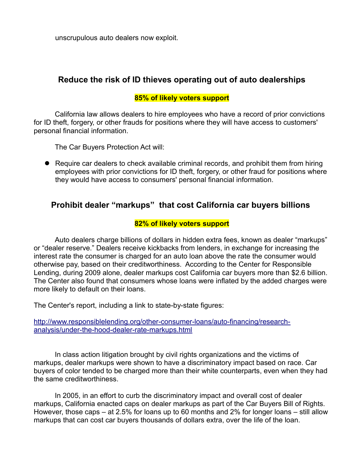unscrupulous auto dealers now exploit.

### **Reduce the risk of ID thieves operating out of auto dealerships**

#### **85% of likely voters support**

California law allows dealers to hire employees who have a record of prior convictions for ID theft, forgery, or other frauds for positions where they will have access to customers' personal financial information.

The Car Buyers Protection Act will:

• Require car dealers to check available criminal records, and prohibit them from hiring employees with prior convictions for ID theft, forgery, or other fraud for positions where they would have access to consumers' personal financial information.

## **Prohibit dealer "markups" that cost California car buyers billions**

#### **82% of likely voters support**

Auto dealers charge billions of dollars in hidden extra fees, known as dealer "markups" or "dealer reserve." Dealers receive kickbacks from lenders, in exchange for increasing the interest rate the consumer is charged for an auto loan above the rate the consumer would otherwise pay, based on their creditworthiness. According to the Center for Responsible Lending, during 2009 alone, dealer markups cost California car buyers more than \$2.6 billion. The Center also found that consumers whose loans were inflated by the added charges were more likely to default on their loans.

The Center's report, including a link to state-by-state figures:

[http://www.responsiblelending.org/other-consumer-loans/auto-financing/research](http://www.responsiblelending.org/other-consumer-loans/auto-financing/research-analysis/under-the-hood-dealer-rate-markups.html)[analysis/under-the-hood-dealer-rate-markups.html](http://www.responsiblelending.org/other-consumer-loans/auto-financing/research-analysis/under-the-hood-dealer-rate-markups.html)

In class action litigation brought by civil rights organizations and the victims of markups, dealer markups were shown to have a discriminatory impact based on race. Car buyers of color tended to be charged more than their white counterparts, even when they had the same creditworthiness.

In 2005, in an effort to curb the discriminatory impact and overall cost of dealer markups, California enacted caps on dealer markups as part of the Car Buyers Bill of Rights. However, those caps – at 2.5% for loans up to 60 months and 2% for longer loans – still allow markups that can cost car buyers thousands of dollars extra, over the life of the loan.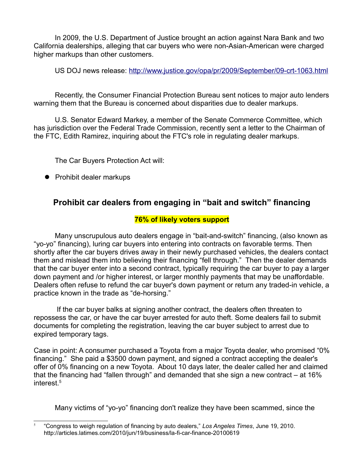In 2009, the U.S. Department of Justice brought an action against Nara Bank and two California dealerships, alleging that car buyers who were non-Asian-American were charged higher markups than other customers.

US DOJ news release:<http://www.justice.gov/opa/pr/2009/September/09-crt-1063.html>

Recently, the Consumer Financial Protection Bureau sent notices to major auto lenders warning them that the Bureau is concerned about disparities due to dealer markups.

U.S. Senator Edward Markey, a member of the Senate Commerce Committee, which has jurisdiction over the Federal Trade Commission, recently sent a letter to the Chairman of the FTC, Edith Ramirez, inquiring about the FTC's role in regulating dealer markups.

The Car Buyers Protection Act will:

• Prohibit dealer markups

## **Prohibit car dealers from engaging in "bait and switch" financing**

### **76% of likely voters support**

Many unscrupulous auto dealers engage in "bait-and-switch" financing, (also known as "yo-yo" financing), luring car buyers into entering into contracts on favorable terms. Then shortly after the car buyers drives away in their newly purchased vehicles, the dealers contact them and mislead them into believing their financing "fell through." Then the dealer demands that the car buyer enter into a second contract, typically requiring the car buyer to pay a larger down payment and /or higher interest, or larger monthly payments that may be unaffordable. Dealers often refuse to refund the car buyer's down payment or return any traded-in vehicle, a practice known in the trade as "de-horsing."

 If the car buyer balks at signing another contract, the dealers often threaten to repossess the car, or have the car buyer arrested for auto theft. Some dealers fail to submit documents for completing the registration, leaving the car buyer subject to arrest due to expired temporary tags.

Case in point: A consumer purchased a Toyota from a major Toyota dealer, who promised "0% financing." She paid a \$3500 down payment, and signed a contract accepting the dealer's offer of 0% financing on a new Toyota. About 10 days later, the dealer called her and claimed that the financing had "fallen through" and demanded that she sign a new contract – at 16% interest.<sup>[5](#page-4-0)</sup>

Many victims of "yo-yo" financing don't realize they have been scammed, since the

<span id="page-4-0"></span><sup>5</sup> "Congress to weigh regulation of financing by auto dealers," *Los Angeles Times*, June 19, 2010. http://articles.latimes.com/2010/jun/19/business/la-fi-car-finance-20100619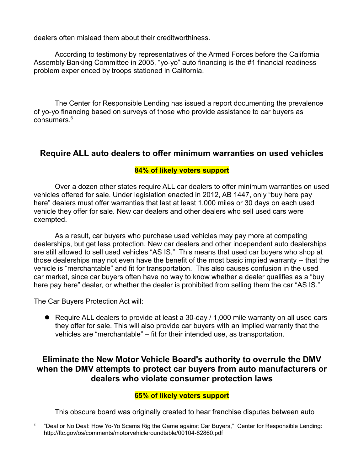dealers often mislead them about their creditworthiness.

According to testimony by representatives of the Armed Forces before the California Assembly Banking Committee in 2005, "yo-yo" auto financing is the #1 financial readiness problem experienced by troops stationed in California.

The Center for Responsible Lending has issued a report documenting the prevalence of yo-yo financing based on surveys of those who provide assistance to car buyers as consumers.<sup>[6](#page-5-0)</sup>

### **Require ALL auto dealers to offer minimum warranties on used vehicles**

### **84% of likely voters support**

Over a dozen other states require ALL car dealers to offer minimum warranties on used vehicles offered for sale. Under legislation enacted in 2012, AB 1447, only "buy here pay here" dealers must offer warranties that last at least 1,000 miles or 30 days on each used vehicle they offer for sale. New car dealers and other dealers who sell used cars were exempted.

As a result, car buyers who purchase used vehicles may pay more at competing dealerships, but get less protection. New car dealers and other independent auto dealerships are still allowed to sell used vehicles "AS IS." This means that used car buyers who shop at those dealerships may not even have the benefit of the most basic implied warranty -- that the vehicle is "merchantable" and fit for transportation. This also causes confusion in the used car market, since car buyers often have no way to know whether a dealer qualifies as a "buy here pay here" dealer, or whether the dealer is prohibited from selling them the car "AS IS."

The Car Buyers Protection Act will:

 Require ALL dealers to provide at least a 30-day / 1,000 mile warranty on all used cars they offer for sale. This will also provide car buyers with an implied warranty that the vehicles are "merchantable" – fit for their intended use, as transportation.

## **Eliminate the New Motor Vehicle Board's authority to overrule the DMV when the DMV attempts to protect car buyers from auto manufacturers or dealers who violate consumer protection laws**

#### **65% of likely voters support**

This obscure board was originally created to hear franchise disputes between auto

<span id="page-5-0"></span><sup>6</sup> "Deal or No Deal: How Yo-Yo Scams Rig the Game against Car Buyers," Center for Responsible Lending: http://ftc.gov/os/comments/motorvehicleroundtable/00104-82860.pdf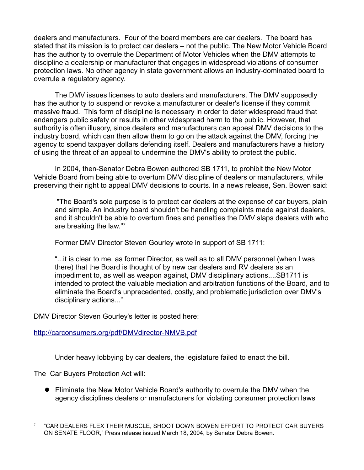dealers and manufacturers. Four of the board members are car dealers. The board has stated that its mission is to protect car dealers – not the public. The New Motor Vehicle Board has the authority to overrule the Department of Motor Vehicles when the DMV attempts to discipline a dealership or manufacturer that engages in widespread violations of consumer protection laws. No other agency in state government allows an industry-dominated board to overrule a regulatory agency.

The DMV issues licenses to auto dealers and manufacturers. The DMV supposedly has the authority to suspend or revoke a manufacturer or dealer's license if they commit massive fraud. This form of discipline is necessary in order to deter widespread fraud that endangers public safety or results in other widespread harm to the public. However, that authority is often illusory, since dealers and manufacturers can appeal DMV decisions to the industry board, which can then allow them to go on the attack against the DMV, forcing the agency to spend taxpayer dollars defending itself. Dealers and manufacturers have a history of using the threat of an appeal to undermine the DMV's ability to protect the public.

In 2004, then-Senator Debra Bowen authored SB 1711, to prohibit the New Motor Vehicle Board from being able to overturn DMV discipline of dealers or manufacturers, while preserving their right to appeal DMV decisions to courts. In a news release, Sen. Bowen said:

"The Board's sole purpose is to protect car dealers at the expense of car buyers, plain and simple. An industry board shouldn't be handling complaints made against dealers, and it shouldn't be able to overturn fines and penalties the DMV slaps dealers with who are breaking the law."<sup>[7](#page-6-0)</sup>

Former DMV Director Steven Gourley wrote in support of SB 1711:

"...it is clear to me, as former Director, as well as to all DMV personnel (when I was there) that the Board is thought of by new car dealers and RV dealers as an impediment to, as well as weapon against, DMV disciplinary actions....SB1711 is intended to protect the valuable mediation and arbitration functions of the Board, and to eliminate the Board's unprecedented, costly, and problematic jurisdiction over DMV's disciplinary actions..."

DMV Director Steven Gourley's letter is posted here:

<http://carconsumers.org/pdf/DMVdirector-NMVB.pdf>

Under heavy lobbying by car dealers, the legislature failed to enact the bill.

The Car Buyers Protection Act will:

 Eliminate the New Motor Vehicle Board's authority to overrule the DMV when the agency disciplines dealers or manufacturers for violating consumer protection laws

<span id="page-6-0"></span><sup>7</sup> "CAR DEALERS FLEX THEIR MUSCLE, SHOOT DOWN BOWEN EFFORT TO PROTECT CAR BUYERS ON SENATE FLOOR," Press release issued March 18, 2004, by Senator Debra Bowen.